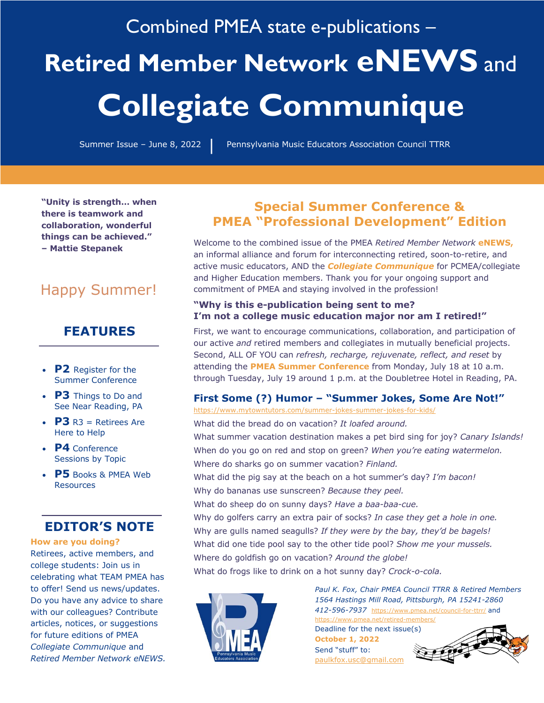# Combined PMEA state e-publications – **Retired Member Network eNEWS** and **Collegiate Communique**

| Summer Issue - June 8, 2022 | Pennsylvania Music Educators Association Council TTRR

**"Unity is strength… when there is teamwork and collaboration, wonderful things can be achieved." – Mattie Stepanek**

# Happy Summer!

# **FEATURES**

- **P2** Register for the Summer Conference
- **P3** Things to Do and See Near Reading, PA
- $\cdot$  **P3** R3 = Retirees Are Here to Help
- **P4** Conference Sessions by Topic
- **P5** Books & PMEA Web **Resources**

# **EDITOR'S NOTE**

#### **How are you doing?**

Retirees, active members, and college students: Join us in celebrating what TEAM PMEA has to offer! Send us news/updates. Do you have any advice to share with our colleagues? Contribute articles, notices, or suggestions for future editions of PMEA *Collegiate Communique* and *Retired Member Network eNEWS.*

# **Special Summer Conference & PMEA "Professional Development" Edition**

Welcome to the combined issue of the PMEA *Retired Member Network* **eNEWS,** an informal alliance and forum for interconnecting retired, soon-to-retire, and active music educators, AND the *Collegiate Communique* for PCMEA/collegiate and Higher Education members. Thank you for your ongoing support and commitment of PMEA and staying involved in the profession!

#### **"Why is this e-publication being sent to me? I'm not a college music education major nor am I retired!"**

First, we want to encourage communications, collaboration, and participation of our active *and* retired members and collegiates in mutually beneficial projects. Second, ALL OF YOU can *refresh, recharge, rejuvenate, reflect, and reset* by attending the **PMEA Summer Conference** from Monday, July 18 at 10 a.m. through Tuesday, July 19 around 1 p.m. at the Doubletree Hotel in Reading, PA.

## **First Some (?) Humor – "Summer Jokes, Some Are Not!"**

https://www.mytowntutors.com/summer-jokes-summer-jokes-for-kids/

What did the bread do on vacation? *It loafed around.* What summer vacation destination makes a pet bird sing for joy? *Canary Islands!* When do you go on red and stop on green? *When you're eating watermelon.* Where do sharks go on summer vacation? *Finland.* What did the pig say at the beach on a hot summer's day? *I'm bacon!* Why do bananas use sunscreen? *Because they peel.* What do sheep do on sunny days? *Have a baa-baa-cue.* Why do golfers carry an extra pair of socks? *In case they get a hole in one.* Why are gulls named seagulls? *If they were by the bay, they'd be bagels!* What did one tide pool say to the other tide pool? *Show me your mussels.* Where do goldfish go on vacation? *Around the globe!* What do frogs like to drink on a hot sunny day? *Crock-o-cola.*



*Paul K. Fox, Chair PMEA Council TTRR & Retired Members 1564 Hastings Mill Road, Pittsburgh, PA 15241-2860 412-596-7937* https://www.pmea.net/council-for-ttrr/ and https://www.pmea.net/retired-members/

Deadline for the next issue(s) **October 1, 2022** Send "stuff" to: paulkfox.usc@gmail.com

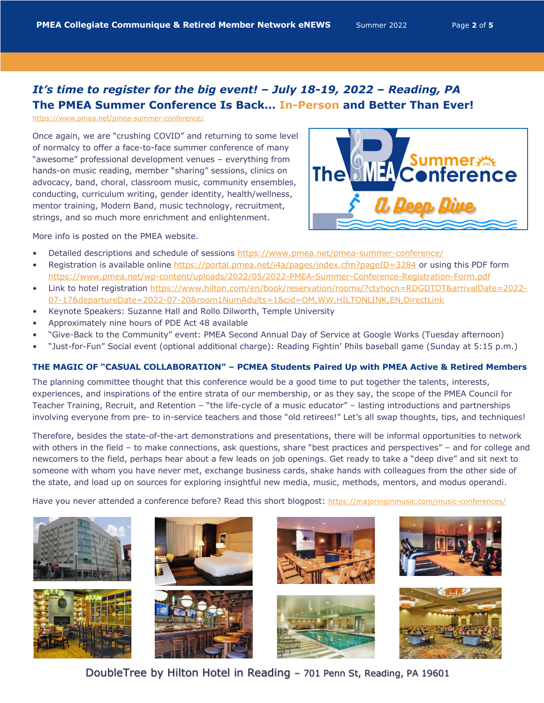# *It's time to register for the big event! – July 18-19, 2022 – Reading, PA* **The PMEA Summer Conference Is Back… In-Person and Better Than Ever!**

https://www.pmea.net/pmea-summer-conference/

Once again, we are "crushing COVID" and returning to some level of normalcy to offer a face-to-face summer conference of many "awesome" professional development venues – everything from hands-on music reading, member "sharing" sessions, clinics on advocacy, band, choral, classroom music, community ensembles, conducting, curriculum writing, gender identity, health/wellness, mentor training, Modern Band, music technology, recruitment, strings, and so much more enrichment and enlightenment.



More info is posted on the PMEA website.

- Detailed descriptions and schedule of sessions https://www.pmea.net/pmea-summer-conference/
- Registration is available online https://portal.pmea.net/i4a/pages/index.cfm?pageID=3284 or using this PDF form https://www.pmea.net/wp-content/uploads/2022/05/2022-PMEA-Summer-Conference-Registration-Form.pdf
- Link to hotel registration https://www.hilton.com/en/book/reservation/rooms/?ctyhocn=RDGDTDT&arrivalDate=2022- 07-17&departureDate=2022-07-20&room1NumAdults=1&cid=OM,WW,HILTONLINK,EN,DirectLink
- Keynote Speakers: Suzanne Hall and Rollo Dilworth, Temple University
- Approximately nine hours of PDE Act 48 available
- "Give-Back to the Community" event: PMEA Second Annual Day of Service at Google Works (Tuesday afternoon)
- "Just-for-Fun" Social event (optional additional charge): Reading Fightin' Phils baseball game (Sunday at 5:15 p.m.)

#### **THE MAGIC OF "CASUAL COLLABORATION" – PCMEA Students Paired Up with PMEA Active & Retired Members**

The planning committee thought that this conference would be a good time to put together the talents, interests, experiences, and inspirations of the entire strata of our membership, or as they say, the scope of the PMEA Council for Teacher Training, Recruit, and Retention – "the life-cycle of a music educator" – lasting introductions and partnerships involving everyone from pre- to in-service teachers and those "old retirees!" Let's all swap thoughts, tips, and techniques!

Therefore, besides the state-of-the-art demonstrations and presentations, there will be informal opportunities to network with others in the field – to make connections, ask questions, share "best practices and perspectives" – and for college and newcomers to the field, perhaps hear about a few leads on job openings. Get ready to take a "deep dive" and sit next to someone with whom you have never met, exchange business cards, shake hands with colleagues from the other side of the state, and load up on sources for exploring insightful new media, music, methods, mentors, and modus operandi.

Have you never attended a conference before? Read this short blogpost: https://majoringinmusic.com/music-conferences/















DoubleTree by Hilton Hotel in Reading – 701 Penn St, Reading, PA 19601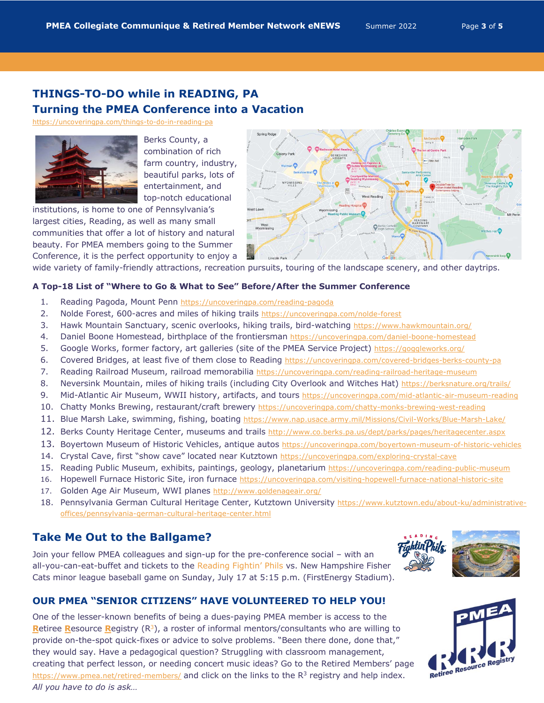# **THINGS-TO-DO while in READING, PA Turning the PMEA Conference into a Vacation**

https://uncoveringpa.com/things-to-do-in-reading-pa



Berks County, a combination of rich farm country, industry, beautiful parks, lots of entertainment, and top-notch educational

institutions, is home to one of Pennsylvania's largest cities, Reading, as well as many small communities that offer a lot of history and natural beauty. For PMEA members going to the Summer Conference, it is the perfect opportunity to enjoy a



wide variety of family-friendly attractions, recreation pursuits, touring of the landscape scenery, and other daytrips.

#### **A Top-18 List of "Where to Go & What to See" Before/After the Summer Conference**

- 1. Reading Pagoda, Mount Penn https://uncoveringpa.com/reading-pagoda
- 2. Nolde Forest, 600-acres and miles of hiking trails https://uncoveringpa.com/nolde-forest
- 3. Hawk Mountain Sanctuary, scenic overlooks, hiking trails, bird-watching https://www.hawkmountain.org/
- 4. Daniel Boone Homestead, birthplace of the frontiersman https://uncoveringpa.com/daniel-boone-homestead
- 5. Google Works, former factory, art galleries (site of the PMEA Service Project) https://goggleworks.org/
- 6. Covered Bridges, at least five of them close to Reading https://uncoveringpa.com/covered-bridges-berks-county-pa
- 7. Reading Railroad Museum, railroad memorabilia https://uncoveringpa.com/reading-railroad-heritage-museum
- 8. Neversink Mountain, miles of hiking trails (including City Overlook and Witches Hat) https://berksnature.org/trails/
- 9. Mid-Atlantic Air Museum, WWII history, artifacts, and tours https://uncoveringpa.com/mid-atlantic-air-museum-reading
- 10. Chatty Monks Brewing, restaurant/craft brewery https://uncoveringpa.com/chatty-monks-brewing-west-reading
- 11. Blue Marsh Lake, swimming, fishing, boating https://www.nap.usace.army.mil/Missions/Civil-Works/Blue-Marsh-Lake/
- 12. Berks County Heritage Center, museums and trails http://www.co.berks.pa.us/dept/parks/pages/heritagecenter.aspx
- 13. Boyertown Museum of Historic Vehicles, antique autos https://uncoveringpa.com/boyertown-museum-of-historic-vehicles
- 14. Crystal Cave, first "show cave" located near Kutztown https://uncoveringpa.com/exploring-crystal-cave
- 15. Reading Public Museum, exhibits, paintings, geology, planetarium https://uncoveringpa.com/reading-public-museum
- 16. Hopewell Furnace Historic Site, iron furnace https://uncoveringpa.com/visiting-hopewell-furnace-national-historic-site
- 17. Golden Age Air Museum, WWI planes http://www.goldenageair.org/
- 18. Pennsylvania German Cultural Heritage Center, Kutztown University https://www.kutztown.edu/about-ku/administrativeoffices/pennsylvania-german-cultural-heritage-center.html

# **Take Me Out to the Ballgame?**

Join your fellow PMEA colleagues and sign-up for the pre-conference social – with an all-you-can-eat-buffet and tickets to the Reading Fightin' Phils vs. New Hampshire Fisher Cats minor league baseball game on Sunday, July 17 at 5:15 p.m. (FirstEnergy Stadium).



### **OUR PMEA "SENIOR CITIZENS" HAVE VOLUNTEERED TO HELP YOU!**

One of the lesser-known benefits of being a dues-paying PMEA member is access to the **R**etiree **R**esource **R**egistry (R3), a roster of informal mentors/consultants who are willing to provide on-the-spot quick-fixes or advice to solve problems. "Been there done, done that," they would say. Have a pedagogical question? Struggling with classroom management, creating that perfect lesson, or needing concert music ideas? Go to the Retired Members' page https://www.pmea.net/retired-members/ and click on the links to the  $R<sup>3</sup>$  registry and help index. *All you have to do is ask…*

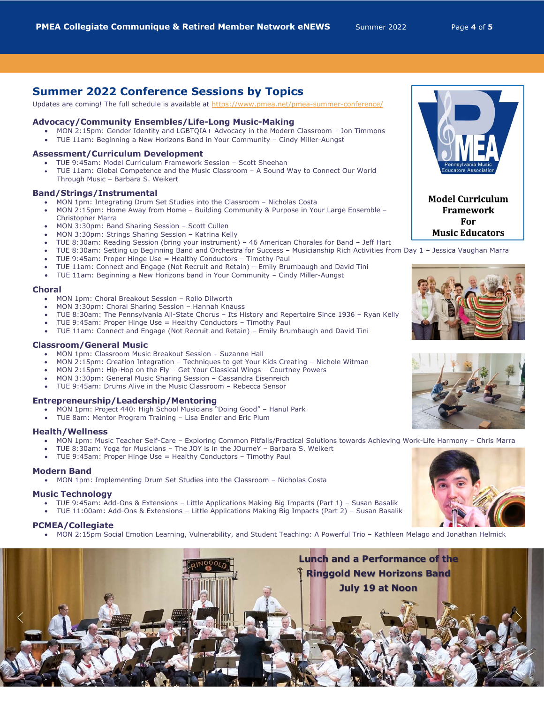# **Summer 2022 Conference Sessions by Topics**

Updates are coming! The full schedule is available at https://www.pmea.net/pmea-summer-conference/

#### **Advocacy/Community Ensembles/Life-Long Music-Making**

- MON 2:15pm: Gender Identity and LGBTQIA+ Advocacy in the Modern Classroom Jon Timmons
- TUE 11am: Beginning a New Horizons Band in Your Community Cindy Miller-Aungst

#### **Assessment/Curriculum Development**

- TUE 9:45am: Model Curriculum Framework Session Scott Sheehan
- TUE 11am: Global Competence and the Music Classroom A Sound Way to Connect Our World Through Music – Barbara S. Weikert

#### **Band/Strings/Instrumental**

- MON 1pm: Integrating Drum Set Studies into the Classroom Nicholas Costa
- MON 2:15pm: Home Away from Home Building Community & Purpose in Your Large Ensemble Christopher Marra
- MON 3:30pm: Band Sharing Session Scott Cullen
- MON 3:30pm: Strings Sharing Session Katrina Kelly
- TUE 8:30am: Reading Session (bring your instrument) 46 American Chorales for Band Jeff Hart
- TUE 8:30am: Setting up Beginning Band and Orchestra for Success Musicianship Rich Activities from Day 1 Jessica Vaughan Marra
- TUE 9:45am: Proper Hinge Use = Healthy Conductors Timothy Paul
- TUE 11am: Connect and Engage (Not Recruit and Retain) Emily Brumbaugh and David Tini
- TUE 11am: Beginning a New Horizons band in Your Community Cindy Miller-Aungst

#### **Choral**

- MON 1pm: Choral Breakout Session Rollo Dilworth
- MON 3:30pm: Choral Sharing Session Hannah Knauss
- TUE 8:30am: The Pennsylvania All-State Chorus Its History and Repertoire Since 1936 Ryan Kelly
- TUE 9:45am: Proper Hinge Use = Healthy Conductors Timothy Paul
- TUE 11am: Connect and Engage (Not Recruit and Retain) Emily Brumbaugh and David Tini

#### **Classroom/General Music**

- MON 1pm: Classroom Music Breakout Session Suzanne Hall
- MON 2:15pm: Creation Integration Techniques to get Your Kids Creating Nichole Witman
- MON 2:15pm: Hip-Hop on the Fly Get Your Classical Wings Courtney Powers
- MON 3:30pm: General Music Sharing Session Cassandra Eisenreich
- TUE 9:45am: Drums Alive in the Music Classroom Rebecca Sensor

#### **Entrepreneurship/Leadership/Mentoring**

- MON 1pm: Project 440: High School Musicians "Doing Good" Hanul Park
- TUE 8am: Mentor Program Training Lisa Endler and Eric Plum

#### **Health/Wellness**

- MON 1pm: Music Teacher Self-Care Exploring Common Pitfalls/Practical Solutions towards Achieving Work-Life Harmony Chris Marra
- TUE 8:30am: Yoga for Musicians The JOY is in the JOurneY Barbara S. Weikert
- TUE 9:45am: Proper Hinge Use = Healthy Conductors Timothy Paul

#### **Modern Band**

• MON 1pm: Implementing Drum Set Studies into the Classroom – Nicholas Costa

#### **Music Technology**

- TUE 9:45am: Add-Ons & Extensions Little Applications Making Big Impacts (Part 1) Susan Basalik
- TUE 11:00am: Add-Ons & Extensions Little Applications Making Big Impacts (Part 2) Susan Basalik

#### **PCMEA/Collegiate**

• MON 2:15pm Social Emotion Learning, Vulnerability, and Student Teaching: A Powerful Trio – Kathleen Melago and Jonathan Helmick





**Model Curriculum Framework** For **Music Educators**